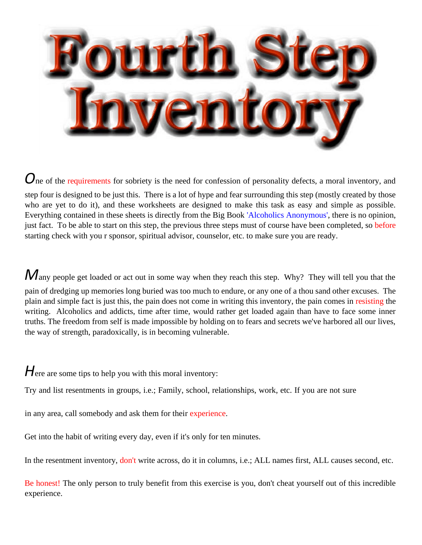

*O*ne of the requirements for sobriety is the need for confession of personality defects, a moral inventory, and step four is designed to be just this. There is a lot of hype and fear surrounding this step (mostly created by those who are yet to do it), and these worksheets are designed to make this task as easy and simple as possible. Everything contained in these sheets is directly from the Big Book 'Alcoholics Anonymous', there is no opinion, just fact. To be able to start on this step, the previous three steps must of course have been completed, so before starting check with you r sponsor, spiritual advisor, counselor, etc. to make sure you are ready.

Many people get loaded or act out in some way when they reach this step. Why? They will tell you that the

pain of dredging up memories long buried was too much to endure, or any one of a thou sand other excuses. The plain and simple fact is just this, the pain does not come in writing this inventory, the pain comes in resisting the writing. Alcoholics and addicts, time after time, would rather get loaded again than have to face some inner truths. The freedom from self is made impossible by holding on to fears and secrets we've harbored all our lives, the way of strength, paradoxically, is in becoming vulnerable.

Here are some tips to help you with this moral inventory:

Try and list resentments in groups, i.e.; Family, school, relationships, work, etc. If you are not sure

in any area, call somebody and ask them for their experience.

Get into the habit of writing every day, even if it's only for ten minutes.

In the resentment inventory, don't write across, do it in columns, i.e.; ALL names first, ALL causes second, etc.

Be honest! The only person to truly benefit from this exercise is you, don't cheat yourself out of this incredible experience.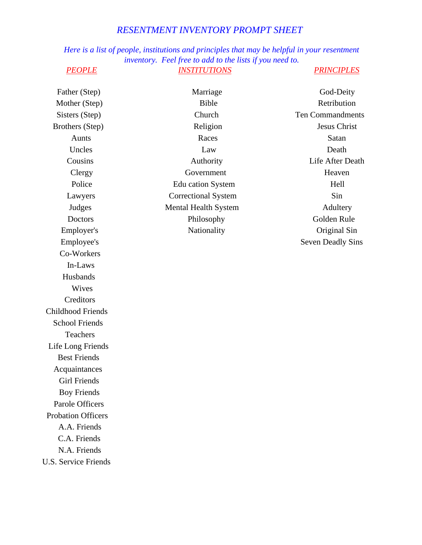### *RESENTMENT INVENTORY PROMPT SHEET*

*Here is a list of people, institutions and principles that may be helpful in your resentment inventory. Feel free to add to the lists if you need to. PEOPLE INSTITUTIONS PRINCIPLES*

Father (Step) Mother (Step) Sisters (Step) Brothers (Step) Aunts Uncles Cousins Clergy Police Lawyers Judges Doctors Employer's Employee's Co-Workers In-Laws Husbands Wives **Creditors** Childhood Friends School Friends **Teachers** Life Long Friends Best Friends Acquaintances Girl Friends Boy Friends Parole Officers Probation Officers A.A. Friends C.A. Friends N.A. Friends U.S. Service Friends Marriage Bible Church Religion Races Law Authority Government Edu cation System Correctional System Mental Health System Philosophy Nationality God-Deity **Retribution** Ten Commandments Jesus Christ Satan Death Life After Death Heaven Hell Sin Adultery Golden Rule Original Sin Seven Deadly Sins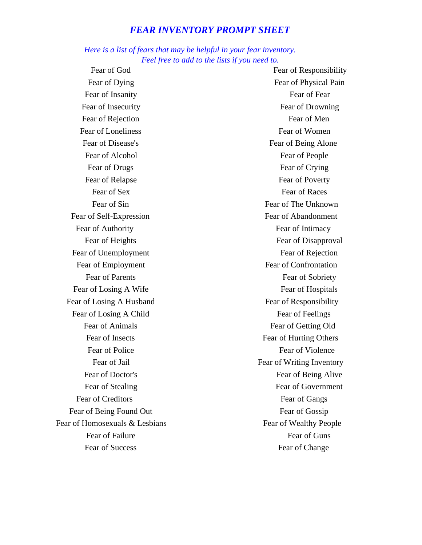### *FEAR INVENTORY PROMPT SHEET*

### *Here is a list of fears that may be helpful in your fear inventory. Feel free to add to the lists if you need to.*

Fear of God Fear of Dying Fear of Insanity Fear of Insecurity Fear of Rejection Fear of Loneliness Fear of Disease's Fear of Alcohol Fear of Drugs Fear of Relapse Fear of Sex Fear of Sin Fear of Self-Expression Fear of Authority Fear of Heights Fear of Unemployment Fear of Employment Fear of Parents Fear of Losing A Wife Fear of Losing A Husband Fear of Losing A Child Fear of Animals Fear of Insects Fear of Police Fear of Jail Fear of Doctor's Fear of Stealing Fear of Creditors Fear of Being Found Out Fear of Homosexuals & Lesbians Fear of Failure Fear of Success

Fear of Responsibility Fear of Physical Pain Fear of Fear Fear of Drowning Fear of Men Fear of Women Fear of Being Alone Fear of People Fear of Crying Fear of Poverty Fear of Races Fear of The Unknown Fear of Abandonment Fear of Intimacy Fear of Disapproval Fear of Rejection Fear of Confrontation Fear of Sobriety Fear of Hospitals Fear of Responsibility Fear of Feelings Fear of Getting Old Fear of Hurting Others Fear of Violence Fear of Writing Inventory Fear of Being Alive Fear of Government Fear of Gangs Fear of Gossip Fear of Wealthy People Fear of Guns Fear of Change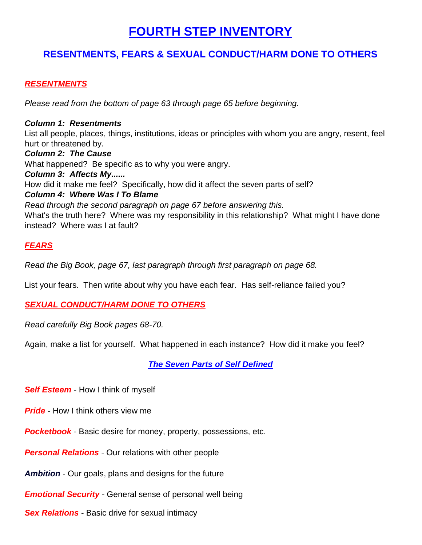### **FOURTH STEP INVENTORY**

### **RESENTMENTS, FEARS & SEXUAL CONDUCT/HARM DONE TO OTHERS**

### *RESENTMENTS*

*Please read from the bottom of page 63 through page 65 before beginning.*

### *Column 1: Resentments*

List all people, places, things, institutions, ideas or principles with whom you are angry, resent, feel hurt or threatened by.

*Column 2: The Cause* What happened? Be specific as to why you were angry. *Column 3: Affects My......* How did it make me feel? Specifically, how did it affect the seven parts of self? *Column 4: Where Was I To Blame Read through the second paragraph on page 67 before answering this.* What's the truth here? Where was my responsibility in this relationship? What might I have done instead? Where was I at fault?

### *FEARS*

*Read the Big Book, page 67, last paragraph through first paragraph on page 68.*

List your fears. Then write about why you have each fear. Has self-reliance failed you?

### *SEXUAL CONDUCT/HARM DONE TO OTHERS*

*Read carefully Big Book pages 68-70.*

Again, make a list for yourself. What happened in each instance? How did it make you feel?

*The Seven Parts of Self Defined*

*Self Esteem* - How I think of myself

*Pride* - How I think others view me

**Pocketbook** - Basic desire for money, property, possessions, etc.

*Personal Relations* - Our relations with other people

*Ambition* - Our goals, plans and designs for the future

*Emotional Security* - General sense of personal well being

*Sex Relations* - Basic drive for sexual intimacy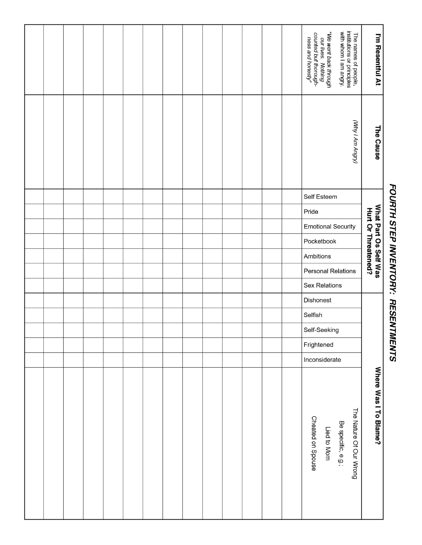## "We went back through<br>our lives. Nothing<br>counted but thorough-<br>ness and honesty" The names of people,<br>institutions or principles<br>with whom I am angry. I'm Resentful At (VMy I Am Angry) The Cause Self Esteem What Part Os Self Was<br>Hurt Or Threatened? Pride **Emotional Security** Pocketbook Ambitions **Personal Relations Sex Relations Dishonest** Selfish Self-Seeking Frightened Inconsiderate Where Was I To Blame? The Nature Of Our Wrong Cheated on Spouse Be specific, e.g.; Lied to Mom

# FOURTH STEP INVENTORY: RESENTMENTS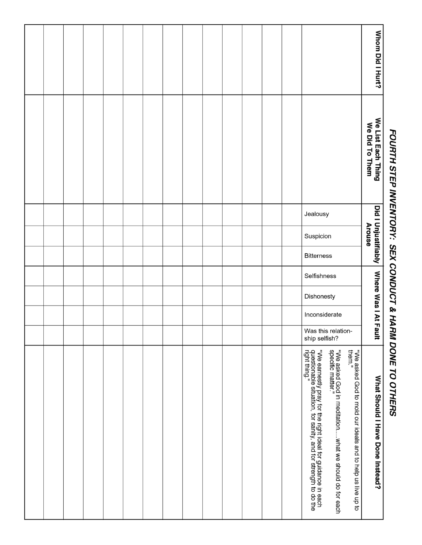# Whom Did I Hurt? We List Each Thing<br>We Did To Them Did I Unjustifiably | Where Was I At Fault Jealousy **Arouse** Suspicion **Bitterness** Selfishness Dishonesty Inconsiderate Was this relationship selfish? "We earnestly pray for the right ideal for guidance in each<br>questionable situation, for sanity, and for strength to do the<br>right thing." "We asked God in meditation......what we should do for each<br>specific matter." "We asked God to mold our ideals and to help us live up to<br>them." What Should I Have Done Instead?

# FOURTH STEP INVENTORY: SEX CONDUCT & HARM DONE TO OTHERS